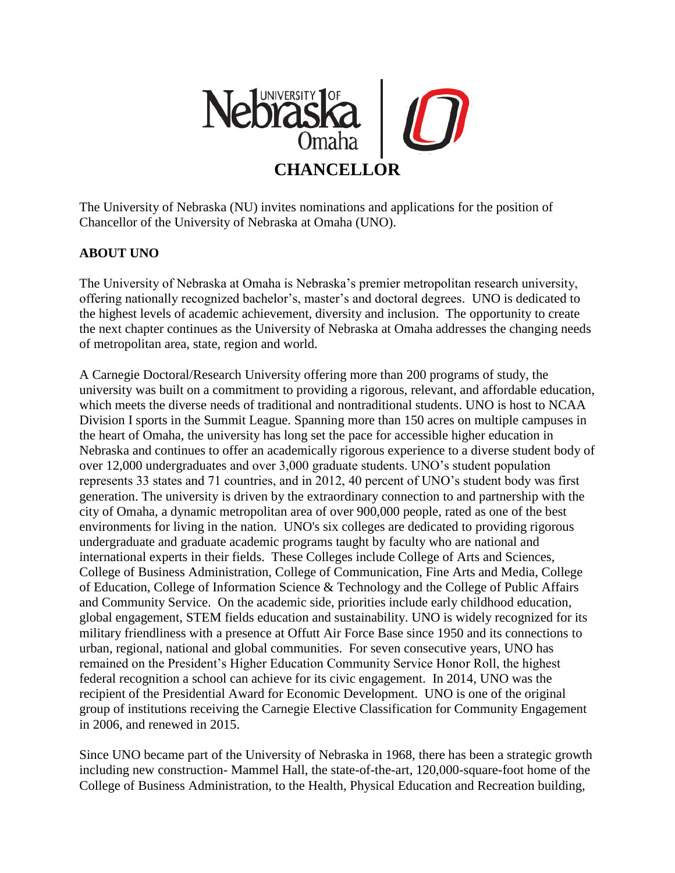

The University of Nebraska (NU) invites nominations and applications for the position of Chancellor of the University of Nebraska at Omaha (UNO).

#### **ABOUT UNO**

The University of Nebraska at Omaha is Nebraska's premier metropolitan research university, offering nationally recognized bachelor's, master's and doctoral degrees. UNO is dedicated to the highest levels of academic achievement, diversity and inclusion. The opportunity to create the next chapter continues as the University of Nebraska at Omaha addresses the changing needs of metropolitan area, state, region and world.

A Carnegie Doctoral/Research University offering more than 200 programs of study, the university was built on a commitment to providing a rigorous, relevant, and affordable education, which meets the diverse needs of traditional and nontraditional students. UNO is host to NCAA Division I sports in the Summit League. Spanning more than 150 acres on multiple campuses in the heart of Omaha, the university has long set the pace for accessible higher education in Nebraska and continues to offer an academically rigorous experience to a diverse student body of over 12,000 undergraduates and over 3,000 graduate students. UNO's student population represents 33 states and 71 countries, and in 2012, 40 percent of UNO's student body was first generation. The university is driven by the extraordinary connection to and partnership with the city of Omaha, a dynamic metropolitan area of over 900,000 people, rated as one of the best environments for living in the nation. UNO's six colleges are dedicated to providing rigorous undergraduate and graduate academic programs taught by faculty who are national and international experts in their fields. These Colleges include College of Arts and Sciences, College of Business Administration, College of Communication, Fine Arts and Media, College of Education, College of Information Science & Technology and the College of Public Affairs and Community Service. On the academic side, priorities include early childhood education, global engagement, STEM fields education and sustainability. UNO is widely recognized for its military friendliness with a presence at Offutt Air Force Base since 1950 and its connections to urban, regional, national and global communities. For seven consecutive years, UNO has remained on the President's Higher Education Community Service Honor Roll, the highest federal recognition a school can achieve for its civic engagement. In 2014, UNO was the recipient of the Presidential Award for Economic Development. UNO is one of the original group of institutions receiving the Carnegie Elective Classification for Community Engagement in 2006, and renewed in 2015.

Since UNO became part of the University of Nebraska in 1968, there has been a strategic growth including new construction- Mammel Hall, the state-of-the-art, 120,000-square-foot home of the College of Business Administration, to the Health, Physical Education and Recreation building,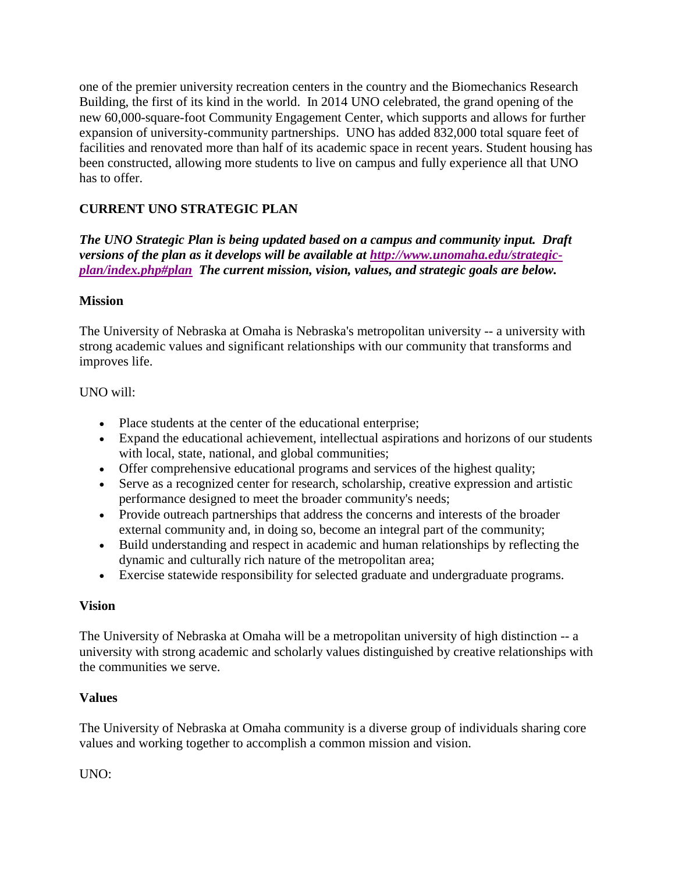one of the premier university recreation centers in the country and the Biomechanics Research Building, the first of its kind in the world. In 2014 UNO celebrated, the grand opening of the new 60,000-square-foot Community Engagement Center, which supports and allows for further expansion of university-community partnerships. UNO has added 832,000 total square feet of facilities and renovated more than half of its academic space in recent years. Student housing has been constructed, allowing more students to live on campus and fully experience all that UNO has to offer.

# **CURRENT UNO STRATEGIC PLAN**

*The UNO Strategic Plan is being updated based on a campus and community input. Draft versions of the plan as it develops will be available at [http://www.unomaha.edu/strategic](http://www.unomaha.edu/strategic-plan/index.php#plan)[plan/index.php#plan](http://www.unomaha.edu/strategic-plan/index.php#plan) The current mission, vision, values, and strategic goals are below.* 

#### **Mission**

The University of Nebraska at Omaha is Nebraska's metropolitan university -- a university with strong academic values and significant relationships with our community that transforms and improves life.

### UNO will:

- Place students at the center of the educational enterprise;
- Expand the educational achievement, intellectual aspirations and horizons of our students with local, state, national, and global communities;
- Offer comprehensive educational programs and services of the highest quality;
- Serve as a recognized center for research, scholarship, creative expression and artistic performance designed to meet the broader community's needs;
- Provide outreach partnerships that address the concerns and interests of the broader external community and, in doing so, become an integral part of the community;
- Build understanding and respect in academic and human relationships by reflecting the dynamic and culturally rich nature of the metropolitan area;
- Exercise statewide responsibility for selected graduate and undergraduate programs.

## **Vision**

The University of Nebraska at Omaha will be a metropolitan university of high distinction -- a university with strong academic and scholarly values distinguished by creative relationships with the communities we serve.

## **Values**

The University of Nebraska at Omaha community is a diverse group of individuals sharing core values and working together to accomplish a common mission and vision.

UNO: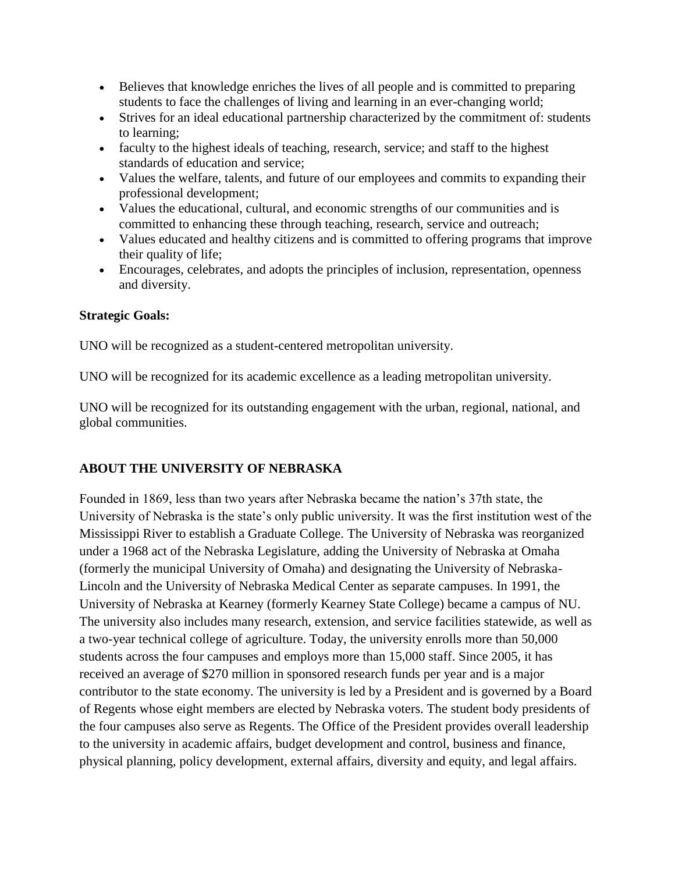- Believes that knowledge enriches the lives of all people and is committed to preparing students to face the challenges of living and learning in an ever-changing world;
- Strives for an ideal educational partnership characterized by the commitment of: students to learning;
- faculty to the highest ideals of teaching, research, service; and staff to the highest standards of education and service;
- Values the welfare, talents, and future of our employees and commits to expanding their professional development;
- Values the educational, cultural, and economic strengths of our communities and is committed to enhancing these through teaching, research, service and outreach;
- Values educated and healthy citizens and is committed to offering programs that improve their quality of life;
- Encourages, celebrates, and adopts the principles of inclusion, representation, openness and diversity.

### **Strategic Goals:**

UNO will be recognized as a student-centered metropolitan university.

UNO will be recognized for its academic excellence as a leading metropolitan university.

UNO will be recognized for its outstanding engagement with the urban, regional, national, and global communities.

## **ABOUT THE UNIVERSITY OF NEBRASKA**

Founded in 1869, less than two years after Nebraska became the nation's 37th state, the University of Nebraska is the state's only public university. It was the first institution west of the Mississippi River to establish a Graduate College. The University of Nebraska was reorganized under a 1968 act of the Nebraska Legislature, adding the University of Nebraska at Omaha (formerly the municipal University of Omaha) and designating the University of Nebraska-Lincoln and the University of Nebraska Medical Center as separate campuses. In 1991, the University of Nebraska at Kearney (formerly Kearney State College) became a campus of NU. The university also includes many research, extension, and service facilities statewide, as well as a two-year technical college of agriculture. Today, the university enrolls more than 50,000 students across the four campuses and employs more than 15,000 staff. Since 2005, it has received an average of \$270 million in sponsored research funds per year and is a major contributor to the state economy. The university is led by a President and is governed by a Board of Regents whose eight members are elected by Nebraska voters. The student body presidents of the four campuses also serve as Regents. The Office of the President provides overall leadership to the university in academic affairs, budget development and control, business and finance, physical planning, policy development, external affairs, diversity and equity, and legal affairs.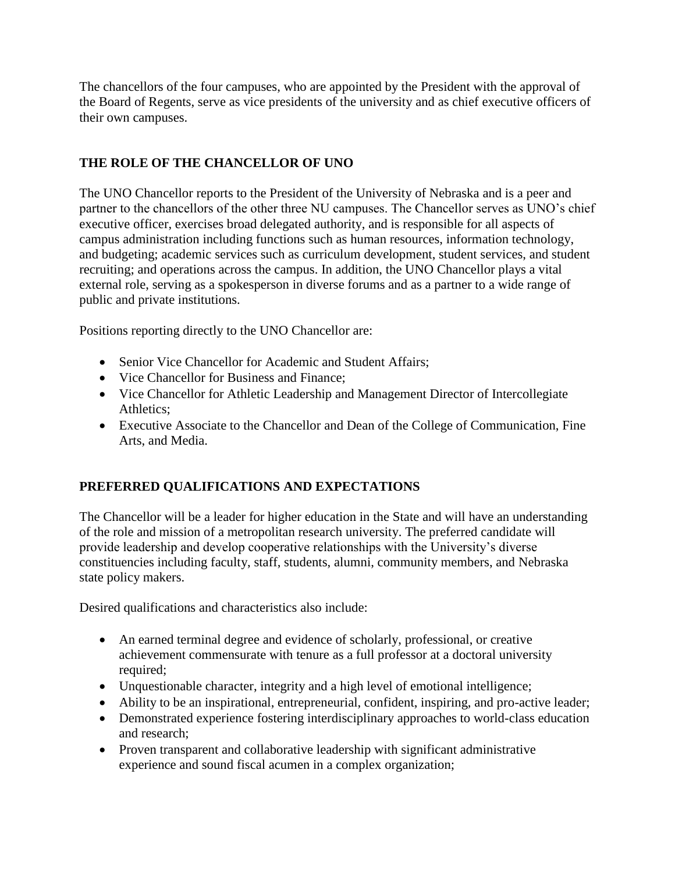The chancellors of the four campuses, who are appointed by the President with the approval of the Board of Regents, serve as vice presidents of the university and as chief executive officers of their own campuses.

## **THE ROLE OF THE CHANCELLOR OF UNO**

The UNO Chancellor reports to the President of the University of Nebraska and is a peer and partner to the chancellors of the other three NU campuses. The Chancellor serves as UNO's chief executive officer, exercises broad delegated authority, and is responsible for all aspects of campus administration including functions such as human resources, information technology, and budgeting; academic services such as curriculum development, student services, and student recruiting; and operations across the campus. In addition, the UNO Chancellor plays a vital external role, serving as a spokesperson in diverse forums and as a partner to a wide range of public and private institutions.

Positions reporting directly to the UNO Chancellor are:

- Senior Vice Chancellor for Academic and Student Affairs;
- Vice Chancellor for Business and Finance:
- Vice Chancellor for Athletic Leadership and Management Director of Intercollegiate Athletics;
- Executive Associate to the Chancellor and Dean of the College of Communication, Fine Arts, and Media.

## **PREFERRED QUALIFICATIONS AND EXPECTATIONS**

The Chancellor will be a leader for higher education in the State and will have an understanding of the role and mission of a metropolitan research university. The preferred candidate will provide leadership and develop cooperative relationships with the University's diverse constituencies including faculty, staff, students, alumni, community members, and Nebraska state policy makers.

Desired qualifications and characteristics also include:

- An earned terminal degree and evidence of scholarly, professional, or creative achievement commensurate with tenure as a full professor at a doctoral university required;
- Unquestionable character, integrity and a high level of emotional intelligence;
- Ability to be an inspirational, entrepreneurial, confident, inspiring, and pro-active leader;
- Demonstrated experience fostering interdisciplinary approaches to world-class education and research;
- Proven transparent and collaborative leadership with significant administrative experience and sound fiscal acumen in a complex organization;